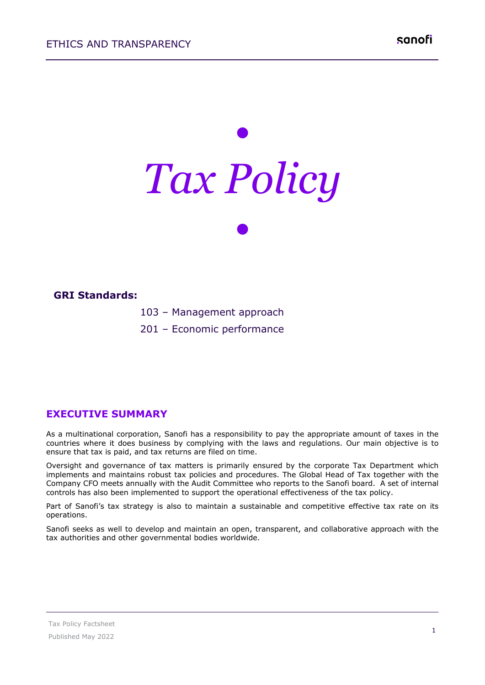# *• Tax Policy •*



#### **EXECUTIVE SUMMARY**

As a multinational corporation, Sanofi has a responsibility to pay the appropriate amount of taxes in the countries where it does business by complying with the laws and regulations. Our main objective is to ensure that tax is paid, and tax returns are filed on time.

Oversight and governance of tax matters is primarily ensured by the corporate Tax Department which implements and maintains robust tax policies and procedures. The Global Head of Tax together with the Company CFO meets annually with the Audit Committee who reports to the Sanofi board. A set of internal controls has also been implemented to support the operational effectiveness of the tax policy.

Part of Sanofi's tax strategy is also to maintain a sustainable and competitive effective tax rate on its operations.

Sanofi seeks as well to develop and maintain an open, transparent, and collaborative approach with the tax authorities and other governmental bodies worldwide.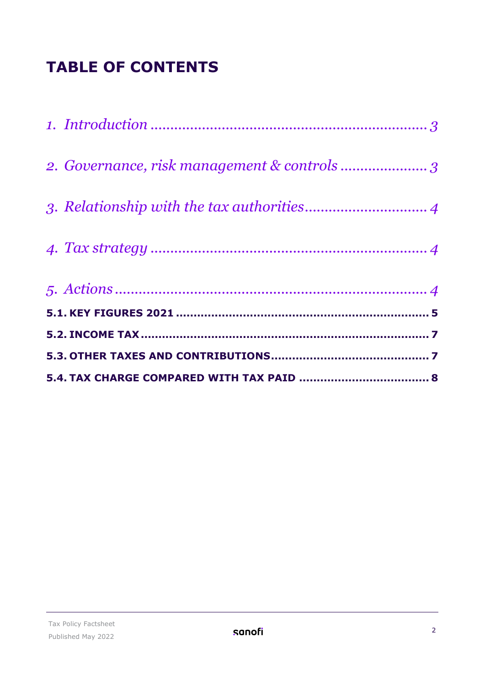## **TABLE OF CONTENTS**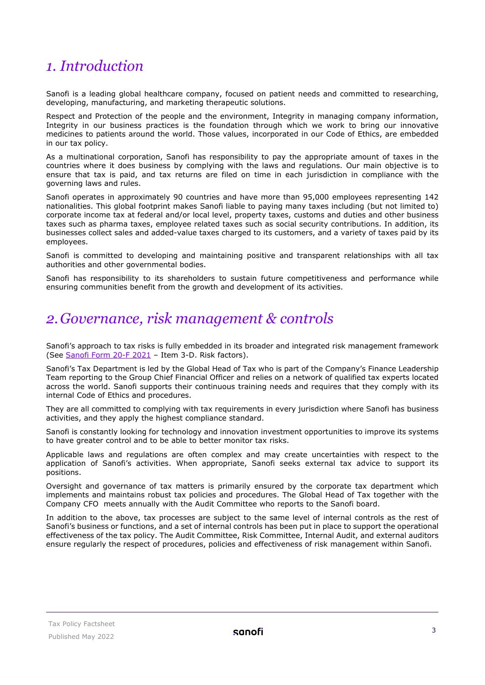## <span id="page-2-0"></span>*1. Introduction*

Sanofi is a leading global healthcare company, focused on patient needs and committed to researching, developing, manufacturing, and marketing therapeutic solutions.

Respect and Protection of the people and the environment, Integrity in managing company information, Integrity in our business practices is the foundation through which we work to bring our innovative medicines to patients around the world. Those values, incorporated in our Code of Ethics, are embedded in our tax policy.

As a multinational corporation, Sanofi has responsibility to pay the appropriate amount of taxes in the countries where it does business by complying with the laws and regulations. Our main objective is to ensure that tax is paid, and tax returns are filed on time in each jurisdiction in compliance with the governing laws and rules.

Sanofi operates in approximately 90 countries and have more than 95,000 employees representing 142 nationalities. This global footprint makes Sanofi liable to paying many taxes including (but not limited to) corporate income tax at federal and/or local level, property taxes, customs and duties and other business taxes such as pharma taxes, employee related taxes such as social security contributions. In addition, its businesses collect sales and added-value taxes charged to its customers, and a variety of taxes paid by its employees.

Sanofi is committed to developing and maintaining positive and transparent relationships with all tax authorities and other governmental bodies.

Sanofi has responsibility to its shareholders to sustain future competitiveness and performance while ensuring communities benefit from the growth and development of its activities.

## <span id="page-2-1"></span>*2.Governance, risk management & controls*

Sanofi's approach to tax risks is fully embedded in its broader and integrated risk management framework (See [Sanofi Form 20-F 2021](https://www.sanofi.com/en/investors/reports-and-publications) – Item 3-D. Risk factors).

Sanofi's Tax Department is led by the Global Head of Tax who is part of the Company's Finance Leadership Team reporting to the Group Chief Financial Officer and relies on a network of qualified tax experts located across the world. Sanofi supports their continuous training needs and requires that they comply with its internal Code of Ethics and procedures.

They are all committed to complying with tax requirements in every jurisdiction where Sanofi has business activities, and they apply the highest compliance standard.

Sanofi is constantly looking for technology and innovation investment opportunities to improve its systems to have greater control and to be able to better monitor tax risks.

Applicable laws and regulations are often complex and may create uncertainties with respect to the application of Sanofi's activities. When appropriate, Sanofi seeks external tax advice to support its positions.

Oversight and governance of tax matters is primarily ensured by the corporate tax department which implements and maintains robust tax policies and procedures. The Global Head of Tax together with the Company CFO meets annually with the Audit Committee who reports to the Sanofi board.

In addition to the above, tax processes are subject to the same level of internal controls as the rest of Sanofi's business or functions, and a set of internal controls has been put in place to support the operational effectiveness of the tax policy. The Audit Committee, Risk Committee, Internal Audit, and external auditors ensure regularly the respect of procedures, policies and effectiveness of risk management within Sanofi.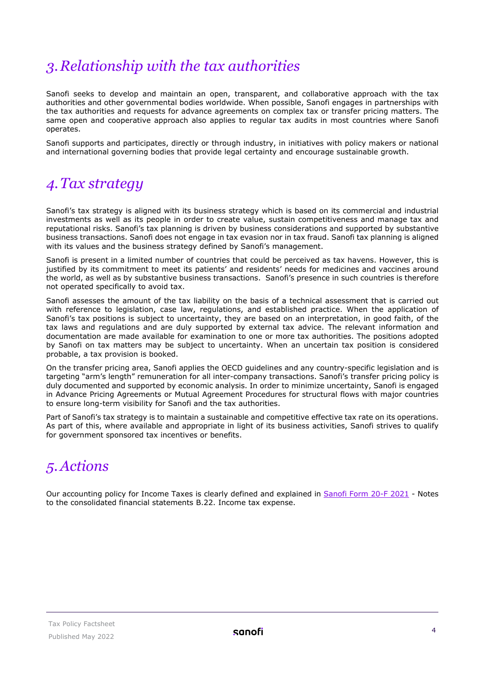## <span id="page-3-0"></span>*3.Relationship with the tax authorities*

Sanofi seeks to develop and maintain an open, transparent, and collaborative approach with the tax authorities and other governmental bodies worldwide. When possible, Sanofi engages in partnerships with the tax authorities and requests for advance agreements on complex tax or transfer pricing matters. The same open and cooperative approach also applies to regular tax audits in most countries where Sanofi operates.

Sanofi supports and participates, directly or through industry, in initiatives with policy makers or national and international governing bodies that provide legal certainty and encourage sustainable growth.

## <span id="page-3-1"></span>*4.Tax strategy*

Sanofi's tax strategy is aligned with its business strategy which is based on its commercial and industrial investments as well as its people in order to create value, sustain competitiveness and manage tax and reputational risks. Sanofi's tax planning is driven by business considerations and supported by substantive business transactions. Sanofi does not engage in tax evasion nor in tax fraud. Sanofi tax planning is aligned with its values and the business strategy defined by Sanofi's management.

Sanofi is present in a limited number of countries that could be perceived as tax havens. However, this is justified by its commitment to meet its patients' and residents' needs for medicines and vaccines around the world, as well as by substantive business transactions. Sanofi's presence in such countries is therefore not operated specifically to avoid tax.

Sanofi assesses the amount of the tax liability on the basis of a technical assessment that is carried out with reference to legislation, case law, regulations, and established practice. When the application of Sanofi's tax positions is subject to uncertainty, they are based on an interpretation, in good faith, of the tax laws and regulations and are duly supported by external tax advice. The relevant information and documentation are made available for examination to one or more tax authorities. The positions adopted by Sanofi on tax matters may be subject to uncertainty. When an uncertain tax position is considered probable, a tax provision is booked.

On the transfer pricing area, Sanofi applies the OECD guidelines and any country-specific legislation and is targeting "arm's length" remuneration for all inter-company transactions. Sanofi's transfer pricing policy is duly documented and supported by economic analysis. In order to minimize uncertainty, Sanofi is engaged in Advance Pricing Agreements or Mutual Agreement Procedures for structural flows with major countries to ensure long-term visibility for Sanofi and the tax authorities.

Part of Sanofi's tax strategy is to maintain a sustainable and competitive effective tax rate on its operations. As part of this, where available and appropriate in light of its business activities, Sanofi strives to qualify for government sponsored tax incentives or benefits.

## <span id="page-3-2"></span>*5.Actions*

Our accounting policy for Income Taxes is clearly defined and explained in [Sanofi Form 20-F 2021](https://www.sanofi.com/en/investors/reports-and-publications) - Notes to the consolidated financial statements B.22. Income tax expense.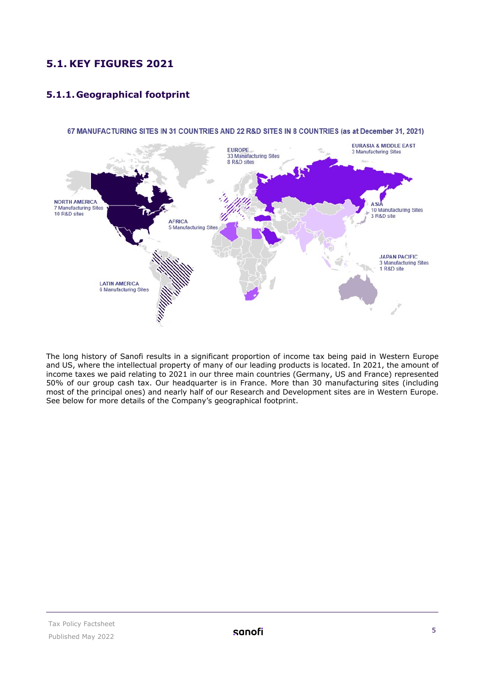### <span id="page-4-0"></span>**5.1. KEY FIGURES 2021**

#### **5.1.1. Geographical footprint**



67 MANUFACTURING SITES IN 31 COUNTRIES AND 22 R&D SITES IN 8 COUNTRIES (as at December 31, 2021)

The long history of Sanofi results in a significant proportion of income tax being paid in Western Europe and US, where the intellectual property of many of our leading products is located. In 2021, the amount of income taxes we paid relating to 2021 in our three main countries (Germany, US and France) represented 50% of our group cash tax. Our headquarter is in France. More than 30 manufacturing sites (including most of the principal ones) and nearly half of our Research and Development sites are in Western Europe. See below for more details of the Company's geographical footprint.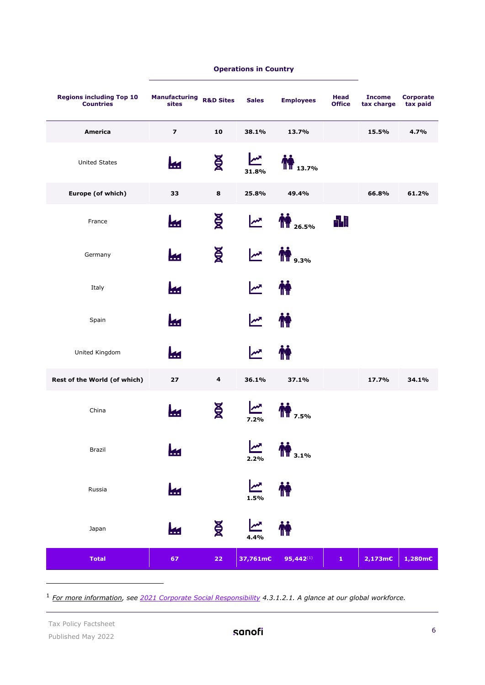| <b>Regions including Top 10</b><br><b>Countries</b> | <b>Manufacturing</b><br>sites | <b>R&amp;D Sites</b> | <b>Sales</b>         | <b>Employees</b>      | <b>Head</b><br><b>Office</b> | <b>Income</b><br>tax charge | <b>Corporate</b><br>tax paid |
|-----------------------------------------------------|-------------------------------|----------------------|----------------------|-----------------------|------------------------------|-----------------------------|------------------------------|
| <b>America</b>                                      | $\overline{\mathbf{z}}$       | 10                   | 38.1%                | 13.7%                 |                              | 15.5%                       | 4.7%                         |
| <b>United States</b>                                |                               | <b>NR</b>            | <b>MA</b><br>31.8%   | $\mathbf{m}_{13.7\%}$ |                              |                             |                              |
| Europe (of which)                                   | 33                            | 8                    | 25.8%                | 49.4%                 |                              | 66.8%                       | 61.2%                        |
| France                                              | K.                            | Ă                    | ∼∿                   | <b>TT</b> 26.5%       | 畾                            |                             |                              |
| Germany                                             | ₩                             | <b>NR</b>            | $\mathbf{M}$         | <b>TH</b> 9.3%        |                              |                             |                              |
| Italy                                               | kн                            |                      | $\mathbf{M}$         |                       |                              |                             |                              |
| Spain                                               | <b>Kd</b>                     |                      | ∣‴                   | M                     |                              |                             |                              |
| United Kingdom                                      | ŁИ                            |                      | $\mathbf{M}$         | M                     |                              |                             |                              |
| Rest of the World (of which)                        | 27                            | 4                    | 36.1%                | 37.1%                 |                              | 17.7%                       | 34.1%                        |
| China                                               | М                             | ĂК                   | $\mathbf{M}$<br>7.2% | $\prod_{7.5\%}$       |                              |                             |                              |
| Brazil                                              |                               |                      | <b>MA</b><br>2.2%    | <b>TT</b> 3.1%        |                              |                             |                              |
| Russia                                              | ki                            |                      | $\mathbf{M}$<br>1.5% | <b>M</b>              |                              |                             |                              |
| Japan                                               | ki                            | Ă                    | ∣‴<br>4.4%           | <b>M</b>              |                              |                             |                              |
| <b>Total</b>                                        | 67                            | $\bf 22$             | 37,761m€             | $95,442^{(1)}$        | $\mathbf{1}$                 | $2,173 \text{mC}$           | 1,280m€                      |

#### **Operations in Country**

<span id="page-5-0"></span><sup>1</sup> *For more information, see [2021 Corporate Social Responsibility](https://www.sanofi.com/-/media/Project/One-Sanofi-Web/Websites/Global/Sanofi-COM/Home/en/our-responsibility/docs/documents-center/brochures/Declaration-of-Extra-Financial-Performance.pdf?la=en&hash=463A22969391C0FCAC98E2398C80DD0C) 4.3.1.2.1. A glance at our global workforce.*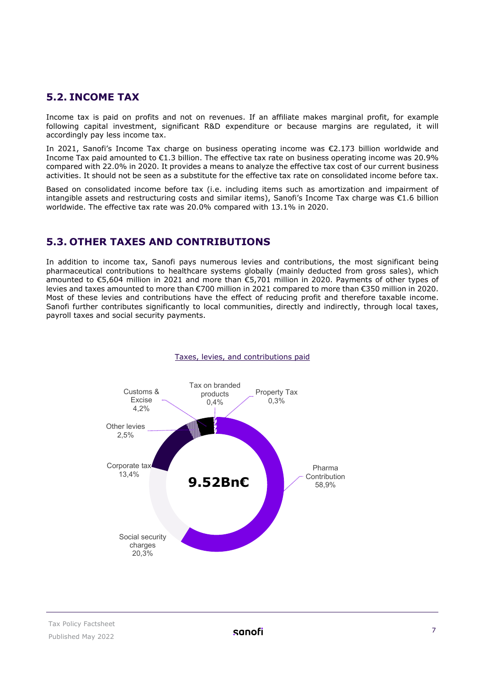#### <span id="page-6-0"></span>**5.2. INCOME TAX**

Income tax is paid on profits and not on revenues. If an affiliate makes marginal profit, for example following capital investment, significant R&D expenditure or because margins are regulated, it will accordingly pay less income tax.

In 2021, Sanofi's Income Tax charge on business operating income was €2.173 billion worldwide and Income Tax paid amounted to €1.3 billion. The effective tax rate on business operating income was 20.9% compared with 22.0% in 2020. It provides a means to analyze the effective tax cost of our current business activities. It should not be seen as a substitute for the effective tax rate on consolidated income before tax.

Based on consolidated income before tax (i.e. including items such as amortization and impairment of intangible assets and restructuring costs and similar items), Sanofi's Income Tax charge was €1.6 billion worldwide. The effective tax rate was 20.0% compared with 13.1% in 2020.

#### <span id="page-6-1"></span>**5.3. OTHER TAXES AND CONTRIBUTIONS**

In addition to income tax, Sanofi pays numerous levies and contributions, the most significant being pharmaceutical contributions to healthcare systems globally (mainly deducted from gross sales), which amounted to €5,604 million in 2021 and more than €5,701 million in 2020. Payments of other types of levies and taxes amounted to more than €700 million in 2021 compared to more than €350 million in 2020. Most of these levies and contributions have the effect of reducing profit and therefore taxable income. Sanofi further contributes significantly to local communities, directly and indirectly, through local taxes, payroll taxes and social security payments.